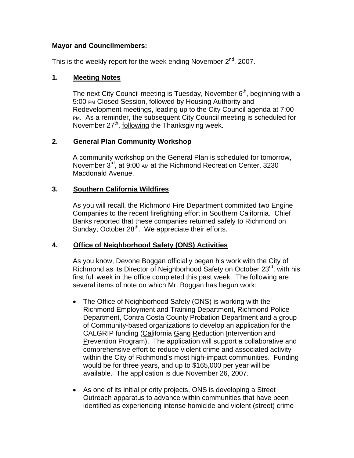## **Mayor and Councilmembers:**

This is the weekly report for the week ending November  $2^{nd}$ , 2007.

## **1. Meeting Notes**

The next City Council meeting is Tuesday, November  $6<sup>th</sup>$ , beginning with a 5:00 PM Closed Session, followed by Housing Authority and Redevelopment meetings, leading up to the City Council agenda at 7:00 PM. As a reminder, the subsequent City Council meeting is scheduled for November  $27<sup>th</sup>$ , following the Thanksgiving week.

## **2. General Plan Community Workshop**

A community workshop on the General Plan is scheduled for tomorrow, November 3<sup>rd</sup>, at 9:00 AM at the Richmond Recreation Center, 3230 Macdonald Avenue.

## **3. Southern California Wildfires**

As you will recall, the Richmond Fire Department committed two Engine Companies to the recent firefighting effort in Southern California. Chief Banks reported that these companies returned safely to Richmond on Sunday, October 28<sup>th</sup>. We appreciate their efforts.

# **4. Office of Neighborhood Safety (ONS) Activities**

As you know, Devone Boggan officially began his work with the City of Richmond as its Director of Neighborhood Safety on October 23<sup>rd</sup>, with his first full week in the office completed this past week. The following are several items of note on which Mr. Boggan has begun work:

- The Office of Neighborhood Safety (ONS) is working with the Richmond Employment and Training Department, Richmond Police Department, Contra Costa County Probation Department and a group of Community-based organizations to develop an application for the CALGRIP funding (California Gang Reduction Intervention and Prevention Program). The application will support a collaborative and comprehensive effort to reduce violent crime and associated activity within the City of Richmond's most high-impact communities. Funding would be for three years, and up to \$165,000 per year will be available. The application is due November 26, 2007.
- As one of its initial priority projects, ONS is developing a Street Outreach apparatus to advance within communities that have been identified as experiencing intense homicide and violent (street) crime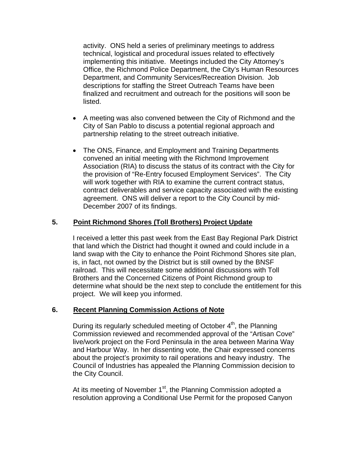activity. ONS held a series of preliminary meetings to address technical, logistical and procedural issues related to effectively implementing this initiative. Meetings included the City Attorney's Office, the Richmond Police Department, the City's Human Resources Department, and Community Services/Recreation Division. Job descriptions for staffing the Street Outreach Teams have been finalized and recruitment and outreach for the positions will soon be listed.

- A meeting was also convened between the City of Richmond and the City of San Pablo to discuss a potential regional approach and partnership relating to the street outreach initiative.
- The ONS, Finance, and Employment and Training Departments convened an initial meeting with the Richmond Improvement Association (RIA) to discuss the status of its contract with the City for the provision of "Re-Entry focused Employment Services". The City will work together with RIA to examine the current contract status, contract deliverables and service capacity associated with the existing agreement. ONS will deliver a report to the City Council by mid-December 2007 of its findings.

# **5. Point Richmond Shores (Toll Brothers) Project Update**

I received a letter this past week from the East Bay Regional Park District that land which the District had thought it owned and could include in a land swap with the City to enhance the Point Richmond Shores site plan, is, in fact, not owned by the District but is still owned by the BNSF railroad. This will necessitate some additional discussions with Toll Brothers and the Concerned Citizens of Point Richmond group to determine what should be the next step to conclude the entitlement for this project. We will keep you informed.

#### **6. Recent Planning Commission Actions of Note**

During its regularly scheduled meeting of October  $4<sup>th</sup>$ , the Planning Commission reviewed and recommended approval of the "Artisan Cove" live/work project on the Ford Peninsula in the area between Marina Way and Harbour Way. In her dissenting vote, the Chair expressed concerns about the project's proximity to rail operations and heavy industry. The Council of Industries has appealed the Planning Commission decision to the City Council.

At its meeting of November  $1<sup>st</sup>$ , the Planning Commission adopted a resolution approving a Conditional Use Permit for the proposed Canyon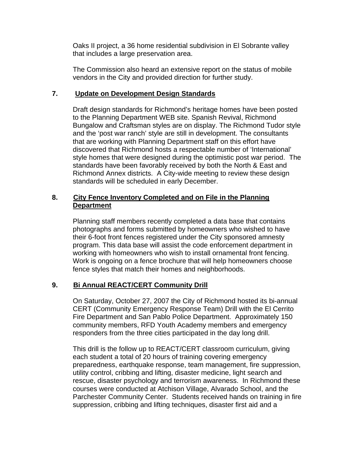Oaks II project, a 36 home residential subdivision in El Sobrante valley that includes a large preservation area.

The Commission also heard an extensive report on the status of mobile vendors in the City and provided direction for further study.

### **7. Update on Development Design Standards**

Draft design standards for Richmond's heritage homes have been posted to the Planning Department WEB site. Spanish Revival, Richmond Bungalow and Craftsman styles are on display. The Richmond Tudor style and the 'post war ranch' style are still in development. The consultants that are working with Planning Department staff on this effort have discovered that Richmond hosts a respectable number of 'International' style homes that were designed during the optimistic post war period. The standards have been favorably received by both the North & East and Richmond Annex districts. A City-wide meeting to review these design standards will be scheduled in early December.

## **8. City Fence Inventory Completed and on File in the Planning Department**

Planning staff members recently completed a data base that contains photographs and forms submitted by homeowners who wished to have their 6-foot front fences registered under the City sponsored amnesty program. This data base will assist the code enforcement department in working with homeowners who wish to install ornamental front fencing. Work is ongoing on a fence brochure that will help homeowners choose fence styles that match their homes and neighborhoods.

# **9. Bi Annual REACT/CERT Community Drill**

On Saturday, October 27, 2007 the City of Richmond hosted its bi-annual CERT (Community Emergency Response Team) Drill with the El Cerrito Fire Department and San Pablo Police Department. Approximately 150 community members, RFD Youth Academy members and emergency responders from the three cities participated in the day long drill.

This drill is the follow up to REACT/CERT classroom curriculum, giving each student a total of 20 hours of training covering emergency preparedness, earthquake response, team management, fire suppression, utility control, cribbing and lifting, disaster medicine, light search and rescue, disaster psychology and terrorism awareness. In Richmond these courses were conducted at Atchison Village, Alvarado School, and the Parchester Community Center. Students received hands on training in fire suppression, cribbing and lifting techniques, disaster first aid and a